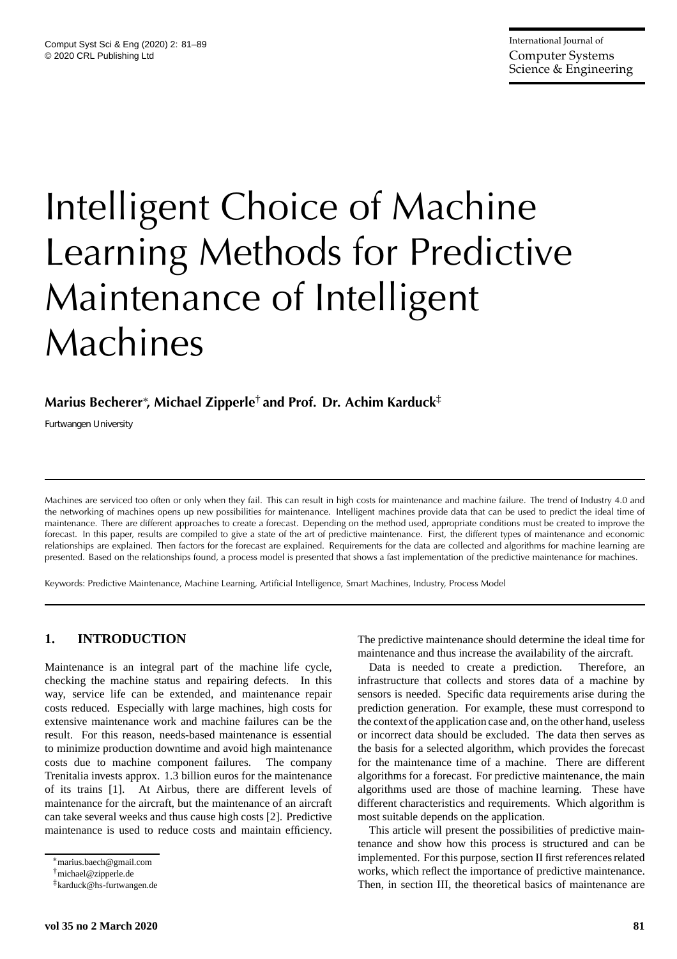# Intelligent Choice of Machine Learning Methods for Predictive Maintenance of Intelligent Machines

# **Marius Becherer**<sup>∗</sup> **, Michael Zipperle**† **and Prof. Dr. Achim Karduck**‡

*Furtwangen University*

Machines are serviced too often or only when they fail. This can result in high costs for maintenance and machine failure. The trend of Industry 4.0 and the networking of machines opens up new possibilities for maintenance. Intelligent machines provide data that can be used to predict the ideal time of maintenance. There are different approaches to create a forecast. Depending on the method used, appropriate conditions must be created to improve the forecast. In this paper, results are compiled to give a state of the art of predictive maintenance. First, the different types of maintenance and economic relationships are explained. Then factors for the forecast are explained. Requirements for the data are collected and algorithms for machine learning are presented. Based on the relationships found, a process model is presented that shows a fast implementation of the predictive maintenance for machines.

Keywords: Predictive Maintenance, Machine Learning, Artificial Intelligence, Smart Machines, Industry, Process Model

# **1. INTRODUCTION**

Maintenance is an integral part of the machine life cycle, checking the machine status and repairing defects. In this way, service life can be extended, and maintenance repair costs reduced. Especially with large machines, high costs for extensive maintenance work and machine failures can be the result. For this reason, needs-based maintenance is essential to minimize production downtime and avoid high maintenance costs due to machine component failures. The company Trenitalia invests approx. 1.3 billion euros for the maintenance of its trains [1]. At Airbus, there are different levels of maintenance for the aircraft, but the maintenance of an aircraft can take several weeks and thus cause high costs [2]. Predictive maintenance is used to reduce costs and maintain efficiency. The predictive maintenance should determine the ideal time for maintenance and thus increase the availability of the aircraft.

Data is needed to create a prediction. Therefore, an infrastructure that collects and stores data of a machine by sensors is needed. Specific data requirements arise during the prediction generation. For example, these must correspond to the context of the application case and, on the other hand, useless or incorrect data should be excluded. The data then serves as the basis for a selected algorithm, which provides the forecast for the maintenance time of a machine. There are different algorithms for a forecast. For predictive maintenance, the main algorithms used are those of machine learning. These have different characteristics and requirements. Which algorithm is most suitable depends on the application.

This article will present the possibilities of predictive maintenance and show how this process is structured and can be implemented. For this purpose, section II first references related works, which reflect the importance of predictive maintenance. Then, in section III, the theoretical basics of maintenance are

<sup>∗</sup>marius.baech@gmail.com

<sup>†</sup>michael@zipperle.de

<sup>‡</sup>karduck@hs-furtwangen.de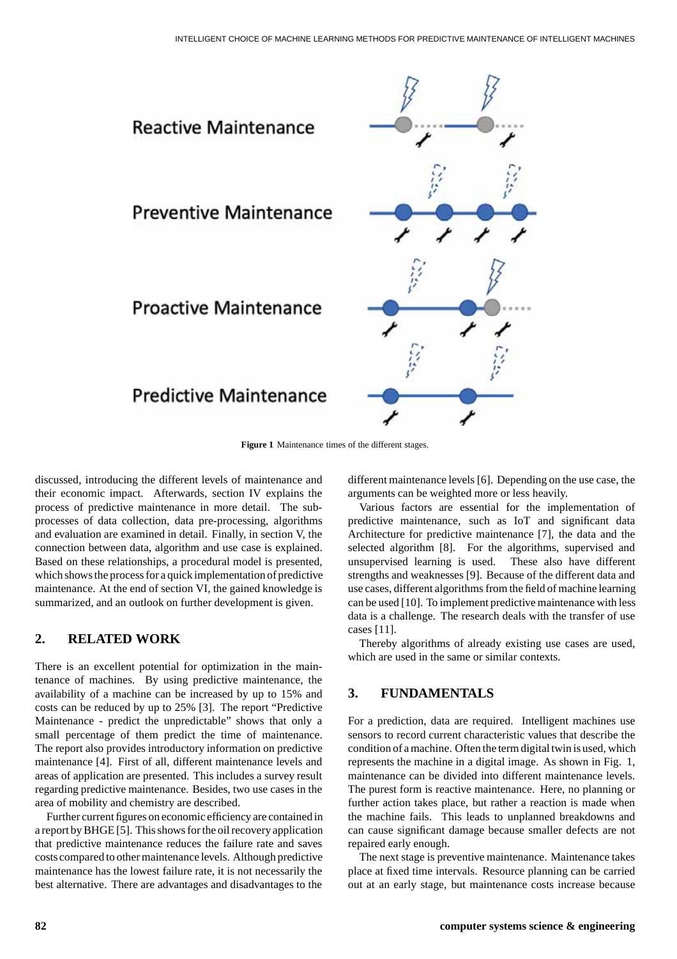

**Figure 1** Maintenance times of the different stages.

discussed, introducing the different levels of maintenance and their economic impact. Afterwards, section IV explains the process of predictive maintenance in more detail. The subprocesses of data collection, data pre-processing, algorithms and evaluation are examined in detail. Finally, in section V, the connection between data, algorithm and use case is explained. Based on these relationships, a procedural model is presented, which shows the process for a quick implementation of predictive maintenance. At the end of section VI, the gained knowledge is summarized, and an outlook on further development is given.

## **2. RELATED WORK**

There is an excellent potential for optimization in the maintenance of machines. By using predictive maintenance, the availability of a machine can be increased by up to 15% and costs can be reduced by up to 25% [3]. The report "Predictive Maintenance - predict the unpredictable" shows that only a small percentage of them predict the time of maintenance. The report also provides introductory information on predictive maintenance [4]. First of all, different maintenance levels and areas of application are presented. This includes a survey result regarding predictive maintenance. Besides, two use cases in the area of mobility and chemistry are described.

Further current figures on economic efficiency are contained in a report by BHGE [5]. This shows for the oil recovery application that predictive maintenance reduces the failure rate and saves costs compared to other maintenance levels. Although predictive maintenance has the lowest failure rate, it is not necessarily the best alternative. There are advantages and disadvantages to the

different maintenance levels [6]. Depending on the use case, the arguments can be weighted more or less heavily.

Various factors are essential for the implementation of predictive maintenance, such as IoT and significant data Architecture for predictive maintenance [7], the data and the selected algorithm [8]. For the algorithms, supervised and unsupervised learning is used. These also have different strengths and weaknesses [9]. Because of the different data and use cases, different algorithms from the field of machine learning can be used [10]. To implement predictive maintenance with less data is a challenge. The research deals with the transfer of use cases [11].

Thereby algorithms of already existing use cases are used, which are used in the same or similar contexts.

# **3. FUNDAMENTALS**

For a prediction, data are required. Intelligent machines use sensors to record current characteristic values that describe the condition of a machine. Often the term digital twin is used, which represents the machine in a digital image. As shown in Fig. 1, maintenance can be divided into different maintenance levels. The purest form is reactive maintenance. Here, no planning or further action takes place, but rather a reaction is made when the machine fails. This leads to unplanned breakdowns and can cause significant damage because smaller defects are not repaired early enough.

The next stage is preventive maintenance. Maintenance takes place at fixed time intervals. Resource planning can be carried out at an early stage, but maintenance costs increase because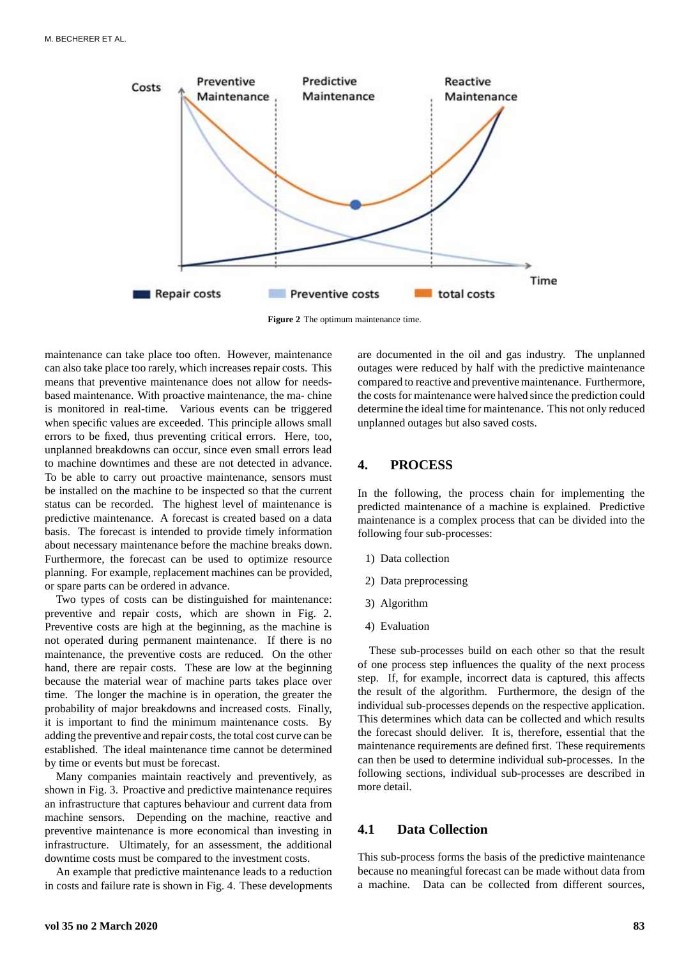

**Figure 2** The optimum maintenance time.

maintenance can take place too often. However, maintenance can also take place too rarely, which increases repair costs. This means that preventive maintenance does not allow for needsbased maintenance. With proactive maintenance, the ma- chine is monitored in real-time. Various events can be triggered when specific values are exceeded. This principle allows small errors to be fixed, thus preventing critical errors. Here, too, unplanned breakdowns can occur, since even small errors lead to machine downtimes and these are not detected in advance. To be able to carry out proactive maintenance, sensors must be installed on the machine to be inspected so that the current status can be recorded. The highest level of maintenance is predictive maintenance. A forecast is created based on a data basis. The forecast is intended to provide timely information about necessary maintenance before the machine breaks down. Furthermore, the forecast can be used to optimize resource planning. For example, replacement machines can be provided, or spare parts can be ordered in advance.

Two types of costs can be distinguished for maintenance: preventive and repair costs, which are shown in Fig. 2. Preventive costs are high at the beginning, as the machine is not operated during permanent maintenance. If there is no maintenance, the preventive costs are reduced. On the other hand, there are repair costs. These are low at the beginning because the material wear of machine parts takes place over time. The longer the machine is in operation, the greater the probability of major breakdowns and increased costs. Finally, it is important to find the minimum maintenance costs. By adding the preventive and repair costs, the total cost curve can be established. The ideal maintenance time cannot be determined by time or events but must be forecast.

Many companies maintain reactively and preventively, as shown in Fig. 3. Proactive and predictive maintenance requires an infrastructure that captures behaviour and current data from machine sensors. Depending on the machine, reactive and preventive maintenance is more economical than investing in infrastructure. Ultimately, for an assessment, the additional downtime costs must be compared to the investment costs.

An example that predictive maintenance leads to a reduction in costs and failure rate is shown in Fig. 4. These developments are documented in the oil and gas industry. The unplanned outages were reduced by half with the predictive maintenance compared to reactive and preventive maintenance. Furthermore, the costs for maintenance were halved since the prediction could determine the ideal time for maintenance. This not only reduced unplanned outages but also saved costs.

#### **4. PROCESS**

In the following, the process chain for implementing the predicted maintenance of a machine is explained. Predictive maintenance is a complex process that can be divided into the following four sub-processes:

- 1) Data collection
- 2) Data preprocessing
- 3) Algorithm
- 4) Evaluation

These sub-processes build on each other so that the result of one process step influences the quality of the next process step. If, for example, incorrect data is captured, this affects the result of the algorithm. Furthermore, the design of the individual sub-processes depends on the respective application. This determines which data can be collected and which results the forecast should deliver. It is, therefore, essential that the maintenance requirements are defined first. These requirements can then be used to determine individual sub-processes. In the following sections, individual sub-processes are described in more detail.

### **4.1 Data Collection**

This sub-process forms the basis of the predictive maintenance because no meaningful forecast can be made without data from a machine. Data can be collected from different sources,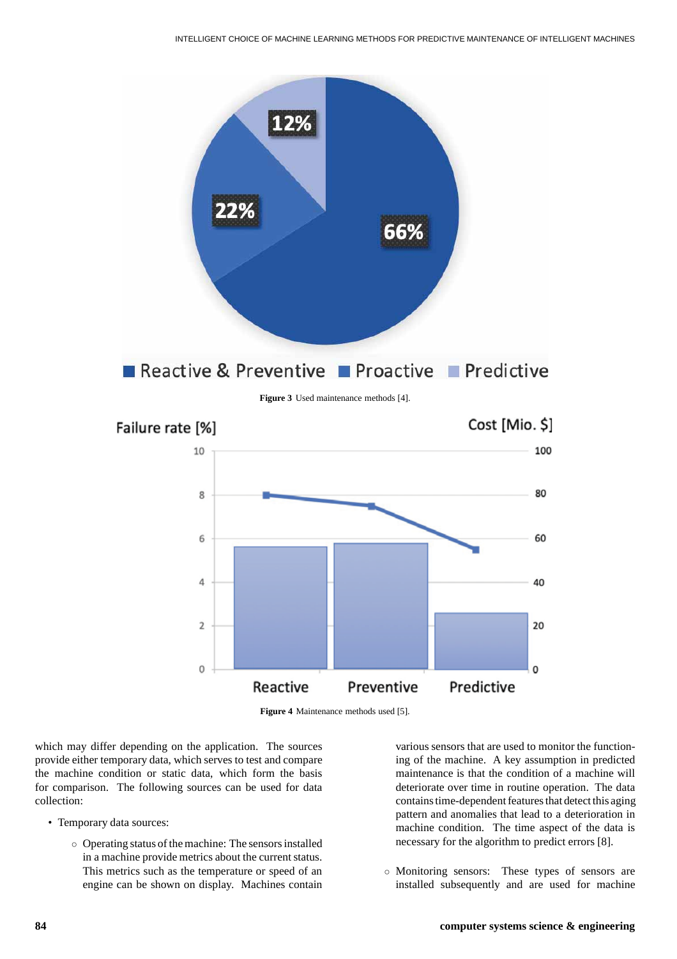



which may differ depending on the application. The sources provide either temporary data, which serves to test and compare the machine condition or static data, which form the basis for comparison. The following sources can be used for data collection:

- Temporary data sources:
	- Operating status of the machine: The sensors installed in a machine provide metrics about the current status. This metrics such as the temperature or speed of an engine can be shown on display. Machines contain

various sensors that are used to monitor the functioning of the machine. A key assumption in predicted maintenance is that the condition of a machine will deteriorate over time in routine operation. The data contains time-dependent features that detect this aging pattern and anomalies that lead to a deterioration in machine condition. The time aspect of the data is necessary for the algorithm to predict errors [8].

◦ Monitoring sensors: These types of sensors are installed subsequently and are used for machine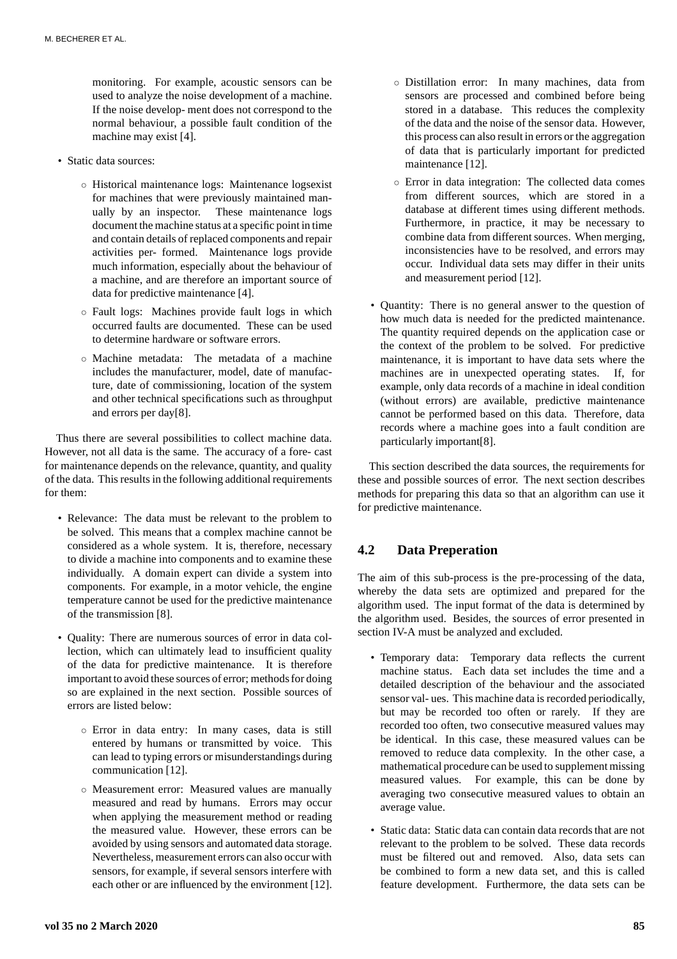monitoring. For example, acoustic sensors can be used to analyze the noise development of a machine. If the noise develop- ment does not correspond to the normal behaviour, a possible fault condition of the machine may exist [4].

- Static data sources:
	- Historical maintenance logs: Maintenance logsexist for machines that were previously maintained manually by an inspector. These maintenance logs document the machine status at a specific point in time and contain details of replaced components and repair activities per- formed. Maintenance logs provide much information, especially about the behaviour of a machine, and are therefore an important source of data for predictive maintenance [4].
	- Fault logs: Machines provide fault logs in which occurred faults are documented. These can be used to determine hardware or software errors.
	- Machine metadata: The metadata of a machine includes the manufacturer, model, date of manufacture, date of commissioning, location of the system and other technical specifications such as throughput and errors per day[8].

Thus there are several possibilities to collect machine data. However, not all data is the same. The accuracy of a fore- cast for maintenance depends on the relevance, quantity, and quality of the data. This results in the following additional requirements for them:

- Relevance: The data must be relevant to the problem to be solved. This means that a complex machine cannot be considered as a whole system. It is, therefore, necessary to divide a machine into components and to examine these individually. A domain expert can divide a system into components. For example, in a motor vehicle, the engine temperature cannot be used for the predictive maintenance of the transmission [8].
- Quality: There are numerous sources of error in data collection, which can ultimately lead to insufficient quality of the data for predictive maintenance. It is therefore important to avoid these sources of error; methods for doing so are explained in the next section. Possible sources of errors are listed below:
	- Error in data entry: In many cases, data is still entered by humans or transmitted by voice. This can lead to typing errors or misunderstandings during communication [12].
	- Measurement error: Measured values are manually measured and read by humans. Errors may occur when applying the measurement method or reading the measured value. However, these errors can be avoided by using sensors and automated data storage. Nevertheless, measurement errors can also occur with sensors, for example, if several sensors interfere with each other or are influenced by the environment [12].
- Distillation error: In many machines, data from sensors are processed and combined before being stored in a database. This reduces the complexity of the data and the noise of the sensor data. However, this process can also result in errors or the aggregation of data that is particularly important for predicted maintenance [12].
- Error in data integration: The collected data comes from different sources, which are stored in a database at different times using different methods. Furthermore, in practice, it may be necessary to combine data from different sources. When merging, inconsistencies have to be resolved, and errors may occur. Individual data sets may differ in their units and measurement period [12].
- Quantity: There is no general answer to the question of how much data is needed for the predicted maintenance. The quantity required depends on the application case or the context of the problem to be solved. For predictive maintenance, it is important to have data sets where the machines are in unexpected operating states. If, for example, only data records of a machine in ideal condition (without errors) are available, predictive maintenance cannot be performed based on this data. Therefore, data records where a machine goes into a fault condition are particularly important[8].

This section described the data sources, the requirements for these and possible sources of error. The next section describes methods for preparing this data so that an algorithm can use it for predictive maintenance.

# **4.2 Data Preperation**

The aim of this sub-process is the pre-processing of the data, whereby the data sets are optimized and prepared for the algorithm used. The input format of the data is determined by the algorithm used. Besides, the sources of error presented in section IV-A must be analyzed and excluded.

- Temporary data: Temporary data reflects the current machine status. Each data set includes the time and a detailed description of the behaviour and the associated sensor val- ues. This machine data is recorded periodically, but may be recorded too often or rarely. If they are recorded too often, two consecutive measured values may be identical. In this case, these measured values can be removed to reduce data complexity. In the other case, a mathematical procedure can be used to supplement missing measured values. For example, this can be done by averaging two consecutive measured values to obtain an average value.
- Static data: Static data can contain data records that are not relevant to the problem to be solved. These data records must be filtered out and removed. Also, data sets can be combined to form a new data set, and this is called feature development. Furthermore, the data sets can be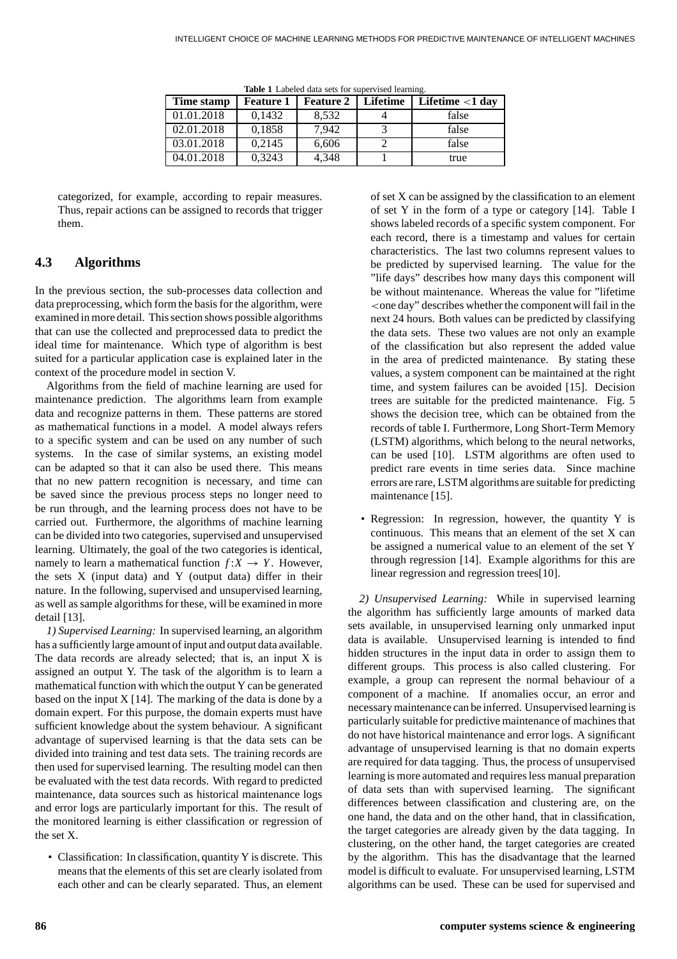| Time stamp | <b>Feature 1</b> | <b>Feature 2</b> | <b>Lifetime</b> | Lifetime $<$ 1 day |
|------------|------------------|------------------|-----------------|--------------------|
| 01.01.2018 | 0.1432           | 8,532            |                 | false              |
| 02.01.2018 | 0,1858           | 7,942            |                 | false              |
| 03.01.2018 | 0,2145           | 6,606            |                 | false              |
| 04.01.2018 | 0.3243           | 4,348            |                 | true               |

**Table 1** Labeled data sets for supervised learning.

categorized, for example, according to repair measures. Thus, repair actions can be assigned to records that trigger them.

## **4.3 Algorithms**

In the previous section, the sub-processes data collection and data preprocessing, which form the basis for the algorithm, were examined in more detail. This section shows possible algorithms that can use the collected and preprocessed data to predict the ideal time for maintenance. Which type of algorithm is best suited for a particular application case is explained later in the context of the procedure model in section V.

Algorithms from the field of machine learning are used for maintenance prediction. The algorithms learn from example data and recognize patterns in them. These patterns are stored as mathematical functions in a model. A model always refers to a specific system and can be used on any number of such systems. In the case of similar systems, an existing model can be adapted so that it can also be used there. This means that no new pattern recognition is necessary, and time can be saved since the previous process steps no longer need to be run through, and the learning process does not have to be carried out. Furthermore, the algorithms of machine learning can be divided into two categories, supervised and unsupervised learning. Ultimately, the goal of the two categories is identical, namely to learn a mathematical function  $f: X \to Y$ . However, the sets X (input data) and Y (output data) differ in their nature. In the following, supervised and unsupervised learning, as well as sample algorithms for these, will be examined in more detail [13].

*1) Supervised Learning:* In supervised learning, an algorithm has a sufficiently large amount of input and output data available. The data records are already selected; that is, an input X is assigned an output Y. The task of the algorithm is to learn a mathematical function with which the output Y can be generated based on the input  $X$  [14]. The marking of the data is done by a domain expert. For this purpose, the domain experts must have sufficient knowledge about the system behaviour. A significant advantage of supervised learning is that the data sets can be divided into training and test data sets. The training records are then used for supervised learning. The resulting model can then be evaluated with the test data records. With regard to predicted maintenance, data sources such as historical maintenance logs and error logs are particularly important for this. The result of the monitored learning is either classification or regression of the set X.

• Classification: In classification, quantity Y is discrete. This means that the elements of this set are clearly isolated from each other and can be clearly separated. Thus, an element of set X can be assigned by the classification to an element of set Y in the form of a type or category [14]. Table I shows labeled records of a specific system component. For each record, there is a timestamp and values for certain characteristics. The last two columns represent values to be predicted by supervised learning. The value for the "life days" describes how many days this component will be without maintenance. Whereas the value for "lifetime *<*one day" describes whether the component will fail in the next 24 hours. Both values can be predicted by classifying the data sets. These two values are not only an example of the classification but also represent the added value in the area of predicted maintenance. By stating these values, a system component can be maintained at the right time, and system failures can be avoided [15]. Decision trees are suitable for the predicted maintenance. Fig. 5 shows the decision tree, which can be obtained from the records of table I. Furthermore, Long Short-Term Memory (LSTM) algorithms, which belong to the neural networks, can be used [10]. LSTM algorithms are often used to predict rare events in time series data. Since machine errors are rare, LSTM algorithms are suitable for predicting maintenance [15].

• Regression: In regression, however, the quantity Y is continuous. This means that an element of the set X can be assigned a numerical value to an element of the set Y through regression [14]. Example algorithms for this are linear regression and regression trees[10].

*2) Unsupervised Learning:* While in supervised learning the algorithm has sufficiently large amounts of marked data sets available, in unsupervised learning only unmarked input data is available. Unsupervised learning is intended to find hidden structures in the input data in order to assign them to different groups. This process is also called clustering. For example, a group can represent the normal behaviour of a component of a machine. If anomalies occur, an error and necessary maintenance can be inferred. Unsupervised learning is particularly suitable for predictive maintenance of machines that do not have historical maintenance and error logs. A significant advantage of unsupervised learning is that no domain experts are required for data tagging. Thus, the process of unsupervised learning is more automated and requires less manual preparation of data sets than with supervised learning. The significant differences between classification and clustering are, on the one hand, the data and on the other hand, that in classification, the target categories are already given by the data tagging. In clustering, on the other hand, the target categories are created by the algorithm. This has the disadvantage that the learned model is difficult to evaluate. For unsupervised learning, LSTM algorithms can be used. These can be used for supervised and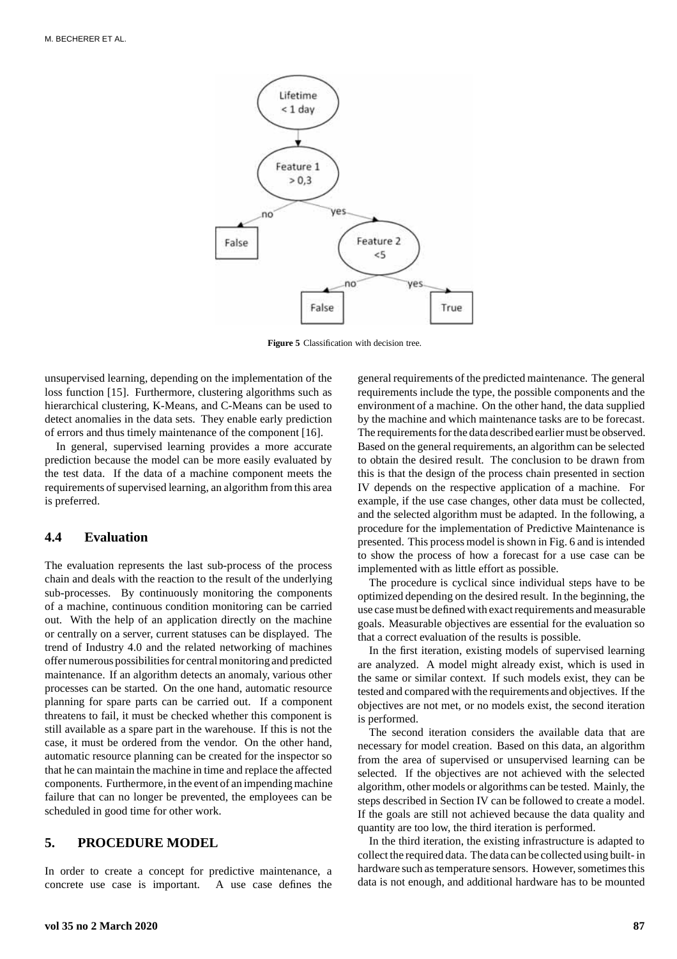

**Figure 5** Classification with decision tree.

unsupervised learning, depending on the implementation of the loss function [15]. Furthermore, clustering algorithms such as hierarchical clustering, K-Means, and C-Means can be used to detect anomalies in the data sets. They enable early prediction of errors and thus timely maintenance of the component [16].

In general, supervised learning provides a more accurate prediction because the model can be more easily evaluated by the test data. If the data of a machine component meets the requirements of supervised learning, an algorithm from this area is preferred.

#### **4.4 Evaluation**

The evaluation represents the last sub-process of the process chain and deals with the reaction to the result of the underlying sub-processes. By continuously monitoring the components of a machine, continuous condition monitoring can be carried out. With the help of an application directly on the machine or centrally on a server, current statuses can be displayed. The trend of Industry 4.0 and the related networking of machines offer numerous possibilities for central monitoring and predicted maintenance. If an algorithm detects an anomaly, various other processes can be started. On the one hand, automatic resource planning for spare parts can be carried out. If a component threatens to fail, it must be checked whether this component is still available as a spare part in the warehouse. If this is not the case, it must be ordered from the vendor. On the other hand, automatic resource planning can be created for the inspector so that he can maintain the machine in time and replace the affected components. Furthermore, in the event of an impending machine failure that can no longer be prevented, the employees can be scheduled in good time for other work.

#### **5. PROCEDURE MODEL**

In order to create a concept for predictive maintenance, a concrete use case is important. A use case defines the

general requirements of the predicted maintenance. The general requirements include the type, the possible components and the environment of a machine. On the other hand, the data supplied by the machine and which maintenance tasks are to be forecast. The requirements for the data described earlier must be observed. Based on the general requirements, an algorithm can be selected to obtain the desired result. The conclusion to be drawn from this is that the design of the process chain presented in section IV depends on the respective application of a machine. For example, if the use case changes, other data must be collected, and the selected algorithm must be adapted. In the following, a procedure for the implementation of Predictive Maintenance is presented. This process model is shown in Fig. 6 and is intended to show the process of how a forecast for a use case can be implemented with as little effort as possible.

The procedure is cyclical since individual steps have to be optimized depending on the desired result. In the beginning, the use case must be defined with exact requirements and measurable goals. Measurable objectives are essential for the evaluation so that a correct evaluation of the results is possible.

In the first iteration, existing models of supervised learning are analyzed. A model might already exist, which is used in the same or similar context. If such models exist, they can be tested and compared with the requirements and objectives. If the objectives are not met, or no models exist, the second iteration is performed.

The second iteration considers the available data that are necessary for model creation. Based on this data, an algorithm from the area of supervised or unsupervised learning can be selected. If the objectives are not achieved with the selected algorithm, other models or algorithms can be tested. Mainly, the steps described in Section IV can be followed to create a model. If the goals are still not achieved because the data quality and quantity are too low, the third iteration is performed.

In the third iteration, the existing infrastructure is adapted to collect the required data. The data can be collected using built- in hardware such as temperature sensors. However, sometimes this data is not enough, and additional hardware has to be mounted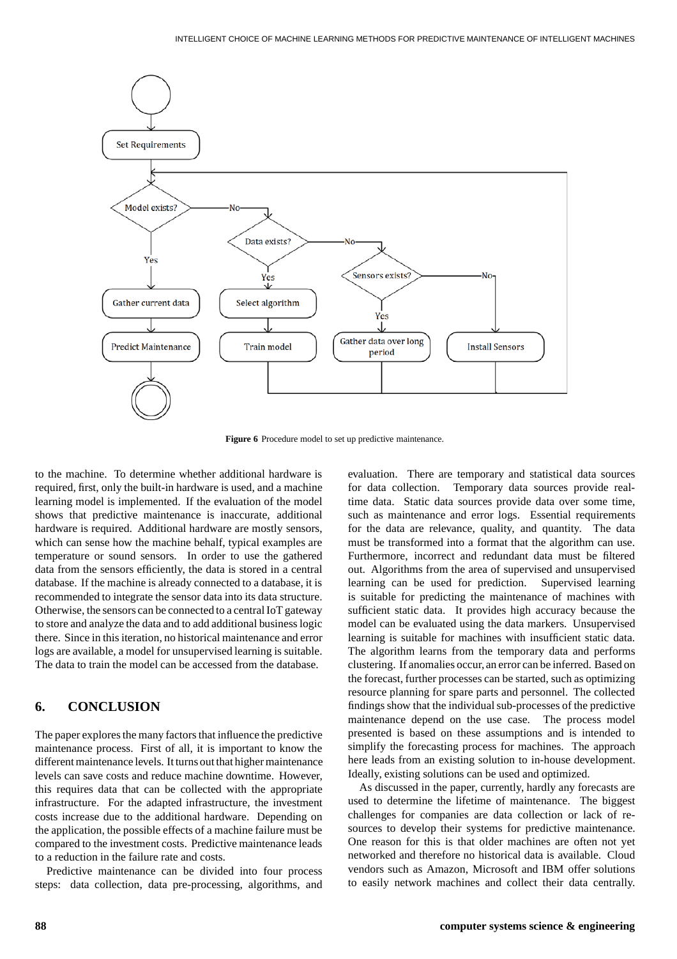

**Figure 6** Procedure model to set up predictive maintenance.

to the machine. To determine whether additional hardware is required, first, only the built-in hardware is used, and a machine learning model is implemented. If the evaluation of the model shows that predictive maintenance is inaccurate, additional hardware is required. Additional hardware are mostly sensors, which can sense how the machine behalf, typical examples are temperature or sound sensors. In order to use the gathered data from the sensors efficiently, the data is stored in a central database. If the machine is already connected to a database, it is recommended to integrate the sensor data into its data structure. Otherwise, the sensors can be connected to a central IoT gateway to store and analyze the data and to add additional business logic there. Since in this iteration, no historical maintenance and error logs are available, a model for unsupervised learning is suitable. The data to train the model can be accessed from the database.

# **6. CONCLUSION**

The paper explores the many factors that influence the predictive maintenance process. First of all, it is important to know the different maintenance levels. It turns out that higher maintenance levels can save costs and reduce machine downtime. However, this requires data that can be collected with the appropriate infrastructure. For the adapted infrastructure, the investment costs increase due to the additional hardware. Depending on the application, the possible effects of a machine failure must be compared to the investment costs. Predictive maintenance leads to a reduction in the failure rate and costs.

Predictive maintenance can be divided into four process steps: data collection, data pre-processing, algorithms, and

evaluation. There are temporary and statistical data sources for data collection. Temporary data sources provide realtime data. Static data sources provide data over some time, such as maintenance and error logs. Essential requirements for the data are relevance, quality, and quantity. The data must be transformed into a format that the algorithm can use. Furthermore, incorrect and redundant data must be filtered out. Algorithms from the area of supervised and unsupervised learning can be used for prediction. Supervised learning is suitable for predicting the maintenance of machines with sufficient static data. It provides high accuracy because the model can be evaluated using the data markers. Unsupervised learning is suitable for machines with insufficient static data. The algorithm learns from the temporary data and performs clustering. If anomalies occur,an error can be inferred. Based on the forecast, further processes can be started, such as optimizing resource planning for spare parts and personnel. The collected findings show that the individual sub-processes of the predictive maintenance depend on the use case. The process model presented is based on these assumptions and is intended to simplify the forecasting process for machines. The approach here leads from an existing solution to in-house development. Ideally, existing solutions can be used and optimized.

As discussed in the paper, currently, hardly any forecasts are used to determine the lifetime of maintenance. The biggest challenges for companies are data collection or lack of resources to develop their systems for predictive maintenance. One reason for this is that older machines are often not yet networked and therefore no historical data is available. Cloud vendors such as Amazon, Microsoft and IBM offer solutions to easily network machines and collect their data centrally.